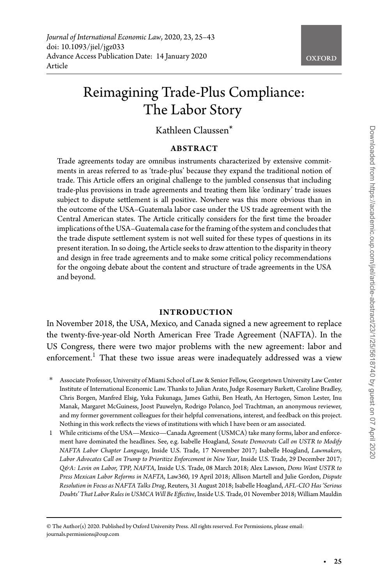# Reimagining Trade-Plus Compliance: The Labor Story

# Kathleen Claussen\*

#### **ABSTRACT**

Trade agreements today are omnibus instruments characterized by extensive commitments in areas referred to as 'trade-plus' because they expand the traditional notion of trade. This Article offers an original challenge to the jumbled consensus that including trade-plus provisions in trade agreements and treating them like 'ordinary' trade issues subject to dispute settlement is all positive. Nowhere was this more obvious than in the outcome of the USA–Guatemala labor case under the US trade agreement with the Central American states. The Article critically considers for the first time the broader implications of the USA–Guatemala case for the framing of the system and concludes that the trade dispute settlement system is not well suited for these types of questions in its present iteration. In so doing, the Article seeks to draw attention to the disparity in theory and design in free trade agreements and to make some critical policy recommendations for the ongoing debate about the content and structure of trade agreements in the USA and beyond.

#### **INTRODUCTION**

In November 2018, the USA, Mexico, and Canada signed a new agreement to replace the twenty-five-year-old North American Free Trade Agreement (NAFTA). In the US Congress, there were two major problems with the new agreement: labor and  $enforcement<sup>1</sup>$ . That these two issue areas were inadequately addressed was a view

- <span id="page-0-0"></span>∗ Associate Professor, University of Miami School of Law & Senior Fellow, Georgetown University Law Center Institute of International Economic Law. Thanks to Julian Arato, Judge Rosemary Barkett, Caroline Bradley, Chris Borgen, Manfred Elsig, Yuka Fukunaga, James Gathii, Ben Heath, An Hertogen, Simon Lester, Inu Manak, Margaret McGuiness, Joost Pauwelyn, Rodrigo Polanco, Joel Trachtman, an anonymous reviewer, and my former government colleagues for their helpful conversations, interest, and feedback on this project. Nothing in this work reflects the views of institutions with which I have been or am associated.
- <span id="page-0-1"></span>1 While criticisms of the USA—Mexico—Canada Agreement (USMCA) take many forms, labor and enforcement have dominated the headlines. See, e.g. Isabelle Hoagland, *Senate Democrats Call on USTR to Modify NAFTA Labor Chapter Language*, Inside U.S. Trade, 17 November 2017; Isabelle Hoagland, *Lawmakers, Labor Advocates Call on Trump to Prioritize Enforcement in New Year*, Inside U.S. Trade, 29 December 2017; *Q&A: Levin on Labor, TPP, NAFTA*, Inside U.S. Trade, 08 March 2018; Alex Lawson, *Dems Want USTR to Press Mexican Labor Reforms in NAFTA*, Law360, 19 April 2018; Allison Martell and Julie Gordon, *Dispute Resolution in Focus as NAFTA Talks Drag*, Reuters, 31 August 2018; Isabelle Hoagland, *AFL-CIO Has 'Serious Doubts' That Labor Rules in USMCA Will Be Effective*, Inside U.S. Trade, 01 November 2018; William Mauldin

<sup>©</sup> The Author(s) 2020. Published by Oxford University Press. All rights reserved. For Permissions, please email: journals.permissions@oup.com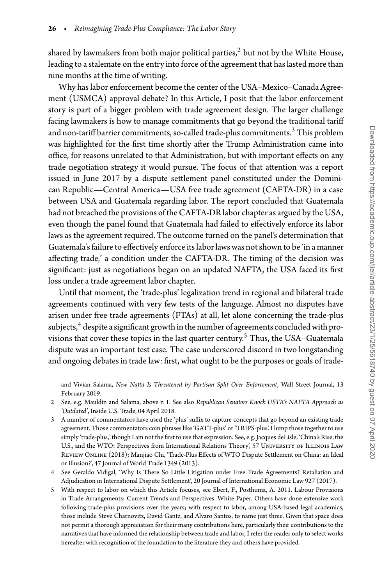shared by lawmakers from both major political parties, $<sup>2</sup>$  $<sup>2</sup>$  $<sup>2</sup>$  but not by the White House,</sup> leading to a stalemate on the entry into force of the agreement that has lasted more than nine months at the time of writing.

Why has labor enforcement become the center of the USA–Mexico–Canada Agreement (USMCA) approval debate? In this Article, I posit that the labor enforcement story is part of a bigger problem with trade agreement design. The larger challenge facing lawmakers is how to manage commitments that go beyond the traditional tariff and non-tariff barrier commitments, so-called trade-plus commitments.<sup>[3](#page-1-1)</sup> This problem was highlighted for the first time shortly after the Trump Administration came into office, for reasons unrelated to that Administration, but with important effects on any trade negotiation strategy it would pursue. The focus of that attention was a report issued in June 2017 by a dispute settlement panel constituted under the Dominican Republic—Central America—USA free trade agreement (CAFTA-DR) in a case between USA and Guatemala regarding labor. The report concluded that Guatemala had not breached the provisions of the CAFTA-DR labor chapter as argued by the USA, even though the panel found that Guatemala had failed to effectively enforce its labor laws as the agreement required. The outcome turned on the panel's determination that Guatemala's failure to effectively enforce its labor laws was not shown to be 'in a manner affecting trade,' a condition under the CAFTA-DR. The timing of the decision was significant: just as negotiations began on an updated NAFTA, the USA faced its first loss under a trade agreement labor chapter.

Until that moment, the 'trade-plus' legalization trend in regional and bilateral trade agreements continued with very few tests of the language. Almost no disputes have arisen under free trade agreements (FTAs) at all, let alone concerning the trade-plus subjects, $4$  despite a significant growth in the number of agreements concluded with pro-visions that cover these topics in the last quarter century.<sup>[5](#page-1-3)</sup> Thus, the USA–Guatemala dispute was an important test case. The case underscored discord in two longstanding and ongoing debates in trade law: first, what ought to be the purposes or goals of trade-

and Vivian Salama, *New Nafta Is Threatened by Partisan Split Over Enforcement*, Wall Street Journal, 13 February 2019.

- <span id="page-1-0"></span>2 See, e.g. Mauldin and Salama, above n 1. See also *Republican Senators Knock USTR's NAFTA Approach as 'Outdated'*, Inside U.S. Trade, 04 April 2018.
- <span id="page-1-1"></span>3 A number of commentators have used the 'plus' suffix to capture concepts that go beyond an existing trade agreement. Those commentators coin phrases like 'GATT-plus' or 'TRIPS-plus'. I lump those together to use simply 'trade-plus,' though I am not the first to use that expression. See, e.g. Jacques deLisle, 'China's Rise, the U.S., and the WTO: Perspectives from International Relations Theory', 57 UNIVERSITY OF ILLINOIS LAW Review Online (2018); Manjiao Chi, 'Trade-Plus Effects of WTO Dispute Settlement on China: an Ideal or Illusion?', 47 Journal of World Trade 1349 (2013).
- <span id="page-1-2"></span>4 See Geraldo Vidigal, 'Why Is There So Little Litigation under Free Trade Agreements? Retaliation and Adjudication in International Dispute Settlement', 20 Journal of International Economic Law 927 (2017).
- <span id="page-1-3"></span>5 With respect to labor on which this Article focuses, see Ebert, F., Posthuma, A. 2011. Labour Provisions in Trade Arrangements: Current Trends and Perspectives. White Paper. Others have done extensive work following trade-plus provisions over the years; with respect to labor, among USA-based legal academics, those include Steve Charnovitz, David Gantz, and Alvaro Santos, to name just three. Given that space does not permit a thorough appreciation for their many contributions here, particularly their contributions to the narratives that have informed the relationship between trade and labor, I refer the reader only to select works hereafter with recognition of the foundation to the literature they and others have provided.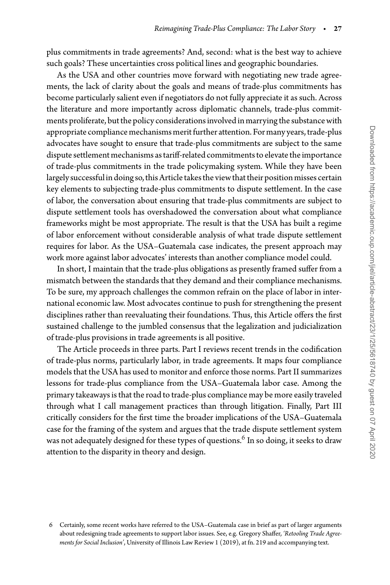plus commitments in trade agreements? And, second: what is the best way to achieve such goals? These uncertainties cross political lines and geographic boundaries.

As the USA and other countries move forward with negotiating new trade agreements, the lack of clarity about the goals and means of trade-plus commitments has become particularly salient even if negotiators do not fully appreciate it as such. Across the literature and more importantly across diplomatic channels, trade-plus commitments proliferate, but the policy considerations involved in marrying the substance with appropriate compliance mechanisms merit further attention. For many years, trade-plus advocates have sought to ensure that trade-plus commitments are subject to the same dispute settlement mechanisms as tariff-related commitments to elevate the importance of trade-plus commitments in the trade policymaking system. While they have been largely successful in doing so, this Article takes the view that their position misses certain key elements to subjecting trade-plus commitments to dispute settlement. In the case of labor, the conversation about ensuring that trade-plus commitments are subject to dispute settlement tools has overshadowed the conversation about what compliance frameworks might be most appropriate. The result is that the USA has built a regime of labor enforcement without considerable analysis of what trade dispute settlement requires for labor. As the USA–Guatemala case indicates, the present approach may work more against labor advocates' interests than another compliance model could.

In short, I maintain that the trade-plus obligations as presently framed suffer from a mismatch between the standards that they demand and their compliance mechanisms. To be sure, my approach challenges the common refrain on the place of labor in international economic law. Most advocates continue to push for strengthening the present disciplines rather than reevaluating their foundations. Thus, this Article offers the first sustained challenge to the jumbled consensus that the legalization and judicialization of trade-plus provisions in trade agreements is all positive.

The Article proceeds in three parts. Part I reviews recent trends in the codification of trade-plus norms, particularly labor, in trade agreements. It maps four compliance models that the USA has used to monitor and enforce those norms. Part II summarizes lessons for trade-plus compliance from the USA–Guatemala labor case. Among the primary takeaways is that the road to trade-plus compliance may be more easily traveled through what I call management practices than through litigation. Finally, Part III critically considers for the first time the broader implications of the USA–Guatemala case for the framing of the system and argues that the trade dispute settlement system was not adequately designed for these types of questions.<sup>6</sup> In so doing, it seeks to draw attention to the disparity in theory and design.

<span id="page-2-0"></span><sup>6</sup> Certainly, some recent works have referred to the USA–Guatemala case in brief as part of larger arguments about redesigning trade agreements to support labor issues. See, e.g. Gregory Shaffer, *'Retooling Trade Agreements for Social Inclusion'*, University of Illinois Law Review 1 (2019), at fn. 219 and accompanying text.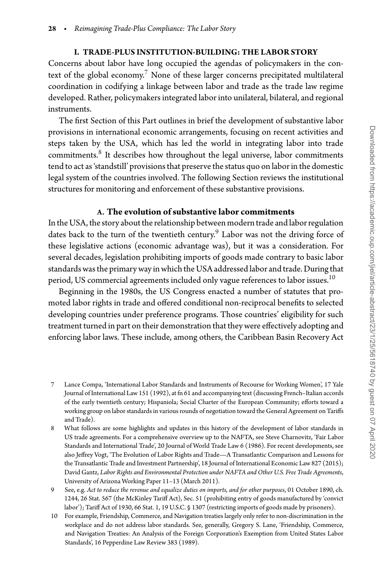### **I. TRADE-PLUS INSTITUTION-BUILDING: THE LABOR STORY**

Concerns about labor have long occupied the agendas of policymakers in the context of the global economy.<sup>7</sup> None of these larger concerns precipitated multilateral coordination in codifying a linkage between labor and trade as the trade law regime developed. Rather, policymakers integrated labor into unilateral, bilateral, and regional instruments.

The first Section of this Part outlines in brief the development of substantive labor provisions in international economic arrangements, focusing on recent activities and steps taken by the USA, which has led the world in integrating labor into trade commitments. $8$  It describes how throughout the legal universe, labor commitments tend to act as 'standstill' provisions that preserve the status quo on labor in the domestic legal system of the countries involved. The following Section reviews the institutional structures for monitoring and enforcement of these substantive provisions.

# **A. The evolution of substantive labor commitments**

In the USA, the story about the relationship between modern trade and labor regulation dates back to the turn of the twentieth century. $9$  Labor was not the driving force of these legislative actions (economic advantage was), but it was a consideration. For several decades, legislation prohibiting imports of goods made contrary to basic labor standards was the primary way in which the USA addressed labor and trade. During that period, US commercial agreements included only vague references to labor issues. $^{10}$ 

Beginning in the 1980s, the US Congress enacted a number of statutes that promoted labor rights in trade and offered conditional non-reciprocal benefits to selected developing countries under preference programs. Those countries' eligibility for such treatment turned in part on their demonstration that they were effectively adopting and enforcing labor laws. These include, among others, the Caribbean Basin Recovery Act

<span id="page-3-0"></span><sup>7</sup> Lance Compa, 'International Labor Standards and Instruments of Recourse for Working Women', 17 Yale Journal of International Law 151 (1992), at fn 61 and accompanying text (discussing French–Italian accords of the early twentieth century; Hispaniola; Social Charter of the European Community; efforts toward a working group on labor standards in various rounds of negotiation toward the General Agreement on Tariffs and Trade).

<span id="page-3-1"></span><sup>8</sup> What follows are some highlights and updates in this history of the development of labor standards in US trade agreements. For a comprehensive overview up to the NAFTA, see Steve Charnovitz, 'Fair Labor Standards and International Trade', 20 Journal of World Trade Law 6 (1986). For recent developments, see also Jeffrey Vogt, 'The Evolution of Labor Rights and Trade—A Transatlantic Comparison and Lessons for the Transatlantic Trade and Investment Partnership', 18 Journal of International Economic Law 827 (2015); David Gantz, *Labor Rights and Environmental Protection under NAFTA and Other U.S. Free Trade Agreements*, University of Arizona Working Paper 11–13 (March 2011).

<span id="page-3-2"></span><sup>9</sup> See, e.g. *Act to reduce the revenue and equalize duties on imports, and for other purposes*, 01 October 1890, ch. 1244, 26 Stat. 567 (the McKinley Tariff Act), Sec. 51 (prohibiting entry of goods manufactured by 'convict labor'); Tariff Act of 1930, 66 Stat. 1, 19 U.S.C. § 1307 (restricting imports of goods made by prisoners).

<span id="page-3-3"></span><sup>10</sup> For example, Friendship, Commerce, and Navigation treaties largely only refer to non-discrimination in the workplace and do not address labor standards. See, generally, Gregory S. Lane, 'Friendship, Commerce, and Navigation Treaties: An Analysis of the Foreign Corporation's Exemption from United States Labor Standards', 16 Pepperdine Law Review 383 (1989).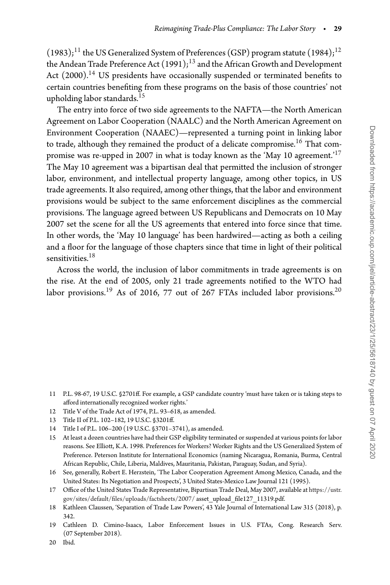$(1983);$ <sup>[11](#page-4-0)</sup> the US Generalized System of Preferences (GSP) program statute (1984);<sup>[12](#page-4-1)</sup> the Andean Trade Preference Act  $(1991);^{13}$  $(1991);^{13}$  $(1991);^{13}$  and the African Growth and Development Act (2000).<sup>14</sup> US presidents have occasionally suspended or terminated benefits to certain countries benefiting from these programs on the basis of those countries' not upholding labor standards.<sup>[15](#page-4-4)</sup>

The entry into force of two side agreements to the NAFTA—the North American Agreement on Labor Cooperation (NAALC) and the North American Agreement on Environment Cooperation (NAAEC)—represented a turning point in linking labor to trade, although they remained the product of a delicate compromise. $^{16}$  That com-promise was re-upped in 2007 in what is today known as the 'May 10 agreement.<sup>'[17](#page-4-6)</sup> The May 10 agreement was a bipartisan deal that permitted the inclusion of stronger labor, environment, and intellectual property language, among other topics, in US trade agreements. It also required, among other things, that the labor and environment provisions would be subject to the same enforcement disciplines as the commercial provisions. The language agreed between US Republicans and Democrats on 10 May 2007 set the scene for all the US agreements that entered into force since that time. In other words, the 'May 10 language' has been hardwired—acting as both a ceiling and a floor for the language of those chapters since that time in light of their political sensitivities.<sup>18</sup>

Across the world, the inclusion of labor commitments in trade agreements is on the rise. At the end of 2005, only 21 trade agreements notified to the WTO had labor provisions.<sup>[19](#page-4-8)</sup> As of [20](#page-4-9)16, 77 out of 267 FTAs included labor provisions.<sup>20</sup>

- <span id="page-4-0"></span>11 P.L. 98-67, 19 U.S.C. §2701ff. For example, a GSP candidate country 'must have taken or is taking steps to afford internationally recognized worker rights.'
- 12 Title V of the Trade Act of 1974, P.L. 93–618, as amended.
- <span id="page-4-1"></span>13 Title II of P.L. 102–182, 19 U.S.C. §3201ff.
- <span id="page-4-2"></span>14 Title I of P.L. 106–200 (19 U.S.C. §3701–3741), as amended.
- <span id="page-4-4"></span><span id="page-4-3"></span>15 At least a dozen countries have had their GSP eligibility terminated or suspended at various points for labor reasons. See Elliott, K.A. 1998. Preferences for Workers? Worker Rights and the US Generalized System of Preference. Peterson Institute for International Economics (naming Nicaragua, Romania, Burma, Central African Republic, Chile, Liberia, Maldives, Mauritania, Pakistan, Paraguay, Sudan, and Syria).
- <span id="page-4-5"></span>16 See, generally, Robert E. Herzstein, 'The Labor Cooperation Agreement Among Mexico, Canada, and the United States: Its Negotiation and Prospects', 3 United States-Mexico Law Journal 121 (1995).
- <span id="page-4-6"></span>17 Office of the United States Trade Representative, Bipartisan Trade Deal, May 2007, available at [https://ustr.](https://ustr.gov/sites/default/files/uploads/factsheets/2007/) [gov/sites/default/files/uploads/factsheets/2007/](https://ustr.gov/sites/default/files/uploads/factsheets/2007/) asset\_upload\_file127\_11319.pdf.
- <span id="page-4-7"></span>18 Kathleen Claussen, 'Separation of Trade Law Powers', 43 Yale Journal of International Law 315 (2018), p. 342.
- <span id="page-4-8"></span>19 Cathleen D. Cimino-Isaacs, Labor Enforcement Issues in U.S. FTAs, Cong. Research Serv. (07 September 2018).

<span id="page-4-9"></span><sup>20</sup> Ibid.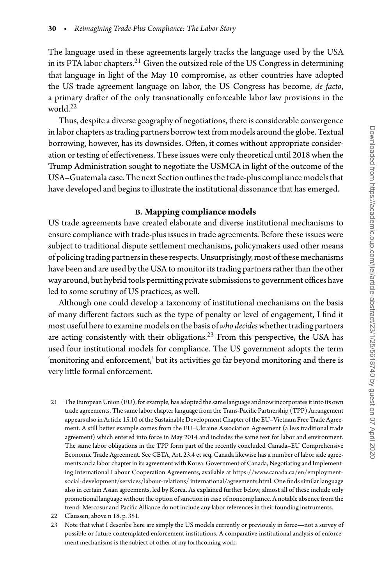The language used in these agreements largely tracks the language used by the USA in its FTA labor chapters.[21](#page-5-0) Given the outsized role of the US Congress in determining that language in light of the May 10 compromise, as other countries have adopted the US trade agreement language on labor, the US Congress has become, *de facto*, a primary drafter of the only transnationally enforceable labor law provisions in the world $^{22}$ 

Thus, despite a diverse geography of negotiations, there is considerable convergence in labor chapters as trading partners borrow text from models around the globe. Textual borrowing, however, has its downsides. Often, it comes without appropriate consideration or testing of effectiveness. These issues were only theoretical until 2018 when the Trump Administration sought to negotiate the USMCA in light of the outcome of the USA-Guatemala case. The next Section outlines the trade-plus compliance models that have developed and begins to illustrate the institutional dissonance that has emerged.

# **B. Mapping compliance models**

US trade agreements have created elaborate and diverse institutional mechanisms to ensure compliance with trade-plus issues in trade agreements. Before these issues were subject to traditional dispute settlement mechanisms, policymakers used other means of policing trading partners in these respects. Unsurprisingly, most of these mechanisms have been and are used by the USA to monitor its trading partners rather than the other way around, but hybrid tools permitting private submissions to government offices have led to some scrutiny of US practices, as well.

Although one could develop a taxonomy of institutional mechanisms on the basis of many different factors such as the type of penalty or level of engagement, I find it most useful here to examine models on the basis of who decides whether trading partners are acting consistently with their obligations.<sup>[23](#page-5-2)</sup> From this perspective, the USA has used four institutional models for compliance. The US government adopts the term 'monitoring and enforcement,' but its activities go far beyond monitoring and there is very little formal enforcement.

- <span id="page-5-0"></span>21 The European Union (EU), for example, has adopted the same language and now incorporates it into its own trade agreements. The same labor chapter language from the Trans-Pacific Partnership (TPP) Arrangement appears also in Article 15.10 of the Sustainable Development Chapter of the EU–Vietnam Free Trade Agreement. A still better example comes from the EU–Ukraine Association Agreement (a less traditional trade agreement) which entered into force in May 2014 and includes the same text for labor and environment. The same labor obligations in the TPP form part of the recently concluded Canada–EU Comprehensive Economic Trade Agreement. See CETA, Art. 23.4 et seq. Canada likewise has a number of labor side agreements and a labor chapter in its agreement with Korea. Government of Canada, Negotiating and Implementing International Labour Cooperation Agreements, available at [https://www.canada.ca/en/employment](https://www.canada.ca/en/employment-social-development/services/labour-relations/)[social-development/services/labour-relations/](https://www.canada.ca/en/employment-social-development/services/labour-relations/) international/agreements.html. One finds similar language also in certain Asian agreements, led by Korea. As explained further below, almost all of these include only promotional language without the option of sanction in case of noncompliance. A notable absence from the trend: Mercosur and Pacific Alliance do not include any labor references in their founding instruments.
- 22 Claussen, above n 18, p. 351.
- <span id="page-5-2"></span><span id="page-5-1"></span>23 Note that what I describe here are simply the US models currently or previously in force—not a survey of possible or future contemplated enforcement institutions. A comparative institutional analysis of enforcement mechanisms is the subject of other of my forthcoming work.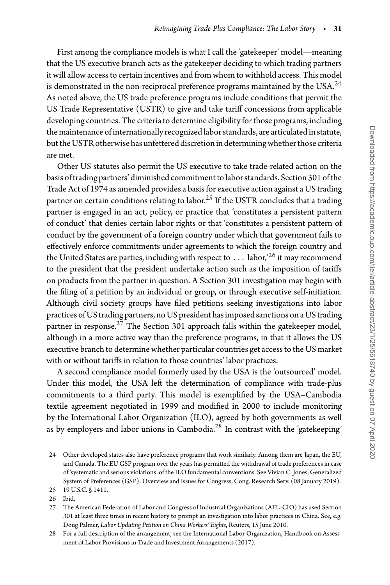First among the compliance models is what I call the 'gatekeeper' model—meaning that the US executive branch acts as the gatekeeper deciding to which trading partners it will allow access to certain incentives and from whom to withhold access. This model is demonstrated in the non-reciprocal preference programs maintained by the USA.<sup>[24](#page-6-0)</sup> As noted above, the US trade preference programs include conditions that permit the US Trade Representative (USTR) to give and take tariff concessions from applicable developing countries. The criteriato determine eligibility forthose programs, including the maintenance of internationally recognized labor standards, are articulated in statute, but the USTR otherwise has unfettered discretion in determining whether those criteria are met.

Other US statutes also permit the US executive to take trade-related action on the basis of trading partners' diminished commitment to labor standards. Section 301 of the Trade Act of 1974 as amended provides a basis for executive action against a US trading partner on certain conditions relating to labor.<sup>[25](#page-6-1)</sup> If the USTR concludes that a trading partner is engaged in an act, policy, or practice that 'constitutes a persistent pattern of conduct' that denies certain labor rights or that 'constitutes a persistent pattern of conduct by the government of a foreign country under which that government fails to effectively enforce commitments under agreements to which the foreign country and the United States are parties, including with respect to *...* labor,'[26](#page-6-2) it may recommend to the president that the president undertake action such as the imposition of tariffs on products from the partner in question. A Section 301 investigation may begin with the filing of a petition by an individual or group, or through executive self-initiation. Although civil society groups have filed petitions seeking investigations into labor practices of US trading partners, no US president has imposed sanctions on a US trading partner in response. $^{27}$  The Section 301 approach falls within the gatekeeper model, although in a more active way than the preference programs, in that it allows the US executive branch to determine whether particular countries get access to the US market with or without tariffs in relation to those countries' labor practices.

A second compliance model formerly used by the USA is the 'outsourced' model. Under this model, the USA left the determination of compliance with trade-plus commitments to a third party. This model is exemplified by the USA–Cambodia textile agreement negotiated in 1999 and modified in 2000 to include monitoring by the International Labor Organization (ILO), agreed by both governments as well as by employers and labor unions in Cambodia.<sup>28</sup> In contrast with the 'gatekeeping'

<span id="page-6-3"></span><span id="page-6-2"></span>27 The American Federation of Labor and Congress of Industrial Organizations (AFL-CIO) has used Section 301 at least three times in recent history to prompt an investigation into labor practices in China. See, e.g. Doug Palmer, *Labor Updating Petition on China Workers' Eights*, Reuters, 15 June 2010.

<span id="page-6-4"></span>28 For a full description of the arrangement, see the International Labor Organization, Handbook on Assessment of Labor Provisions in Trade and Investment Arrangements (2017).

<span id="page-6-0"></span><sup>24</sup> Other developed states also have preference programs that work similarly. Among them are Japan, the EU, and Canada. The EU GSP program over the years has permitted the withdrawal of trade preferences in case of 'systematic and serious violations' of the ILO fundamental conventions. See Vivian C. Jones, Generalized System of Preferences (GSP): Overview and Issues for Congress, Cong. Research Serv. (08 January 2019).

<sup>25 19</sup> U.S.C. § 1411.

<span id="page-6-1"></span><sup>26</sup> Ibid.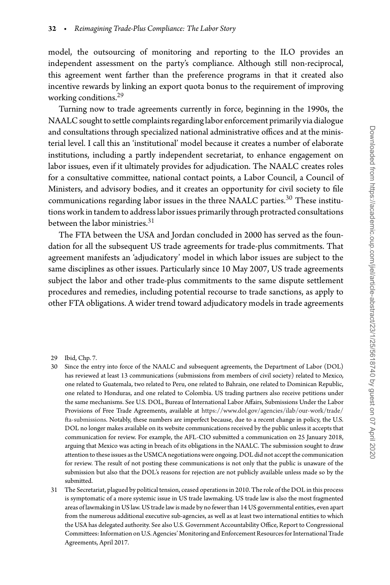model, the outsourcing of monitoring and reporting to the ILO provides an independent assessment on the party's compliance. Although still non-reciprocal, this agreement went farther than the preference programs in that it created also incentive rewards by linking an export quota bonus to the requirement of improving working conditions.<sup>29</sup>

Turning now to trade agreements currently in force, beginning in the 1990s, the NAALC sought to settle complaints regarding labor enforcement primarily via dialogue and consultations through specialized national administrative offices and at the ministerial level. I call this an 'institutional' model because it creates a number of elaborate institutions, including a partly independent secretariat, to enhance engagement on labor issues, even if it ultimately provides for adjudication. The NAALC creates roles for a consultative committee, national contact points, a Labor Council, a Council of Ministers, and advisory bodies, and it creates an opportunity for civil society to file communications regarding labor issues in the three NAALC parties.<sup>[30](#page-7-1)</sup> These institutions work in tandem to address labor issues primarily through protracted consultations between the labor ministries. $31$ 

The FTA between the USA and Jordan concluded in 2000 has served as the foundation for all the subsequent US trade agreements for trade-plus commitments. That agreement manifests an 'adjudicatory' model in which labor issues are subject to the same disciplines as other issues. Particularly since 10 May 2007, US trade agreements subject the labor and other trade-plus commitments to the same dispute settlement procedures and remedies, including potential recourse to trade sanctions, as apply to other FTA obligations. A wider trend toward adjudicatory models in trade agreements

- <span id="page-7-1"></span><span id="page-7-0"></span>30 Since the entry into force of the NAALC and subsequent agreements, the Department of Labor (DOL) has reviewed at least 13 communications (submissions from members of civil society) related to Mexico, one related to Guatemala, two related to Peru, one related to Bahrain, one related to Dominican Republic, one related to Honduras, and one related to Colombia. US trading partners also receive petitions under the same mechanisms. See U.S. DOL, Bureau of International Labor Affairs, Submissions Under the Labor Provisions of Free Trade Agreements, available at [https://www.dol.gov/agencies/ilab/our-work/trade/](https://www.dol.gov/agencies/ilab/our-work/trade/fta-submissions) [fta-submissions.](https://www.dol.gov/agencies/ilab/our-work/trade/fta-submissions) Notably, these numbers are imperfect because, due to a recent change in policy, the U.S. DOL no longer makes available on its website communications received by the public unless it accepts that communication for review. For example, the AFL-CIO submitted a communication on 25 January 2018, arguing that Mexico was acting in breach of its obligations in the NAALC. The submission sought to draw attention to these issues as the USMCA negotiations were ongoing. DOL did not accept the communication for review. The result of not posting these communications is not only that the public is unaware of the submission but also that the DOL's reasons for rejection are not publicly available unless made so by the submitted.
- <span id="page-7-2"></span>31 The Secretariat, plagued by political tension, ceased operations in 2010. The role of the DOL in this process is symptomatic of a more systemic issue in US trade lawmaking. US trade law is also the most fragmented areas of lawmaking in US law. US trade law is made by no fewer than 14 US governmental entities, even apart from the numerous additional executive sub-agencies, as well as at least two international entities to which the USA has delegated authority. See also U.S. Government Accountability Office, Report to Congressional Committees: Information on U.S. Agencies'Monitoring and Enforcement Resources for International Trade Agreements, April 2017.

<sup>29</sup> Ibid, Chp. 7.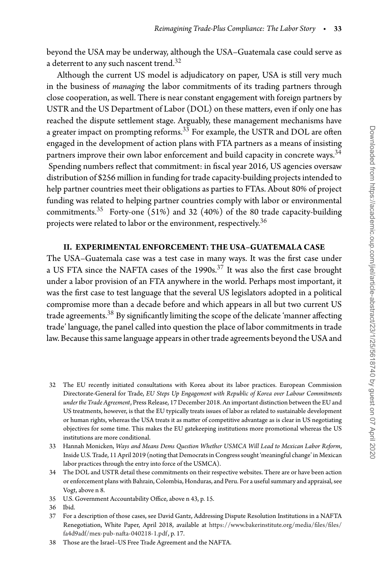beyond the USA may be underway, although the USA–Guatemala case could serve as a deterrent to any such nascent trend. $^{32}$ 

Although the current US model is adjudicatory on paper, USA is still very much in the business of *managing* the labor commitments of its trading partners through close cooperation, as well. There is near constant engagement with foreign partners by USTR and the US Department of Labor (DOL) on these matters, even if only one has reached the dispute settlement stage. Arguably, these management mechanisms have a greater impact on prompting reforms.<sup>[33](#page-8-1)</sup> For example, the USTR and DOL are often engaged in the development of action plans with FTA partners as a means of insisting partners improve their own labor enforcement and build capacity in concrete ways.<sup>34</sup> Spending numbers reflect that commitment: in fiscal year 2016, US agencies oversaw distribution of \$256 million in funding for trade capacity-building projects intended to help partner countries meet their obligations as parties to FTAs. About 80% of project funding was related to helping partner countries comply with labor or environmental commitments.<sup>35</sup> Forty-one (51%) and 32 (40%) of the 80 trade capacity-building projects were related to labor or the environment, respectively.<sup>36</sup>

#### **II. EXPERIMENTAL ENFORCEMENT: THE USA–GUATEMALA CASE**

The USA–Guatemala case was a test case in many ways. It was the first case under a US FTA since the NAFTA cases of the 1990s.<sup>[37](#page-8-5)</sup> It was also the first case brought under a labor provision of an FTA anywhere in the world. Perhaps most important, it was the first case to test language that the several US legislators adopted in a political compromise more than a decade before and which appears in all but two current US trade agreements.<sup>[38](#page-8-6)</sup> By significantly limiting the scope of the delicate 'manner affecting trade' language, the panel called into question the place of labor commitments in trade law. Because this same language appears in other trade agreements beyond the USA and

- <span id="page-8-0"></span>32 The EU recently initiated consultations with Korea about its labor practices. European Commission Directorate-General for Trade, *EU Steps Up Engagement with Republic of Korea over Labour Commitments under the Trade Agreement*, Press Release, 17 December 2018. An important distinction between the EU and US treatments, however, is that the EU typically treats issues of labor as related to sustainable development or human rights, whereas the USA treats it as matter of competitive advantage as is clear in US negotiating objectives for some time. This makes the EU gatekeeping institutions more promotional whereas the US institutions are more conditional.
- <span id="page-8-1"></span>33 Hannah Monicken, *Ways and Means Dems Question Whether USMCA Will Lead to Mexican Labor Reform*, Inside U.S. Trade, 11 April 2019 (noting that Democrats in Congress sought 'meaningful change' in Mexican labor practices through the entry into force of the USMCA).
- <span id="page-8-2"></span>34 The DOL and USTR detail these commitments on their respective websites. There are or have been action or enforcement plans with Bahrain, Colombia, Honduras, and Peru. For a useful summary and appraisal, see Vogt, above n 8.

<span id="page-8-5"></span><span id="page-8-4"></span>37 For a description of those cases, see David Gantz, Addressing Dispute Resolution Institutions in a NAFTA Renegotiation, White Paper, April 2018, available at [https://www.bakerinstitute.org/media/files/files/](https://www.bakerinstitute.org/media/files/files/fa4d9adf/mex-pub-nafta-040218-1.pdf) [fa4d9adf/mex-pub-nafta-040218-1.pdf,](https://www.bakerinstitute.org/media/files/files/fa4d9adf/mex-pub-nafta-040218-1.pdf) p. 17.

<sup>35</sup> U.S. Government Accountability Office, above n 43, p. 15.

<span id="page-8-3"></span><sup>36</sup> Ibid.

<span id="page-8-6"></span><sup>38</sup> Those are the Israel–US Free Trade Agreement and the NAFTA.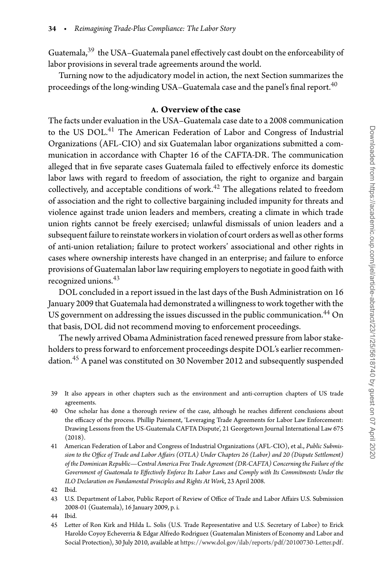Guatemala,[39](#page-9-0) the USA–Guatemala panel effectively cast doubt on the enforceability of labor provisions in several trade agreements around the world.

Turning now to the adjudicatory model in action, the next Section summarizes the proceedings of the long-winding USA–Guatemala case and the panel's final report.<sup>40</sup>

# **A. Overview of the case**

The facts under evaluation in the USA–Guatemala case date to a 2008 communication to the US DOL.<sup>41</sup> The American Federation of Labor and Congress of Industrial Organizations (AFL-CIO) and six Guatemalan labor organizations submitted a communication in accordance with Chapter 16 of the CAFTA-DR. The communication alleged that in five separate cases Guatemala failed to effectively enforce its domestic labor laws with regard to freedom of association, the right to organize and bargain collectively, and acceptable conditions of work. $42$  The allegations related to freedom of association and the right to collective bargaining included impunity for threats and violence against trade union leaders and members, creating a climate in which trade union rights cannot be freely exercised; unlawful dismissals of union leaders and a subsequent failure to reinstate workers in violation of court orders as well as other forms of anti-union retaliation; failure to protect workers' associational and other rights in cases where ownership interests have changed in an enterprise; and failure to enforce provisions of Guatemalan labor law requiring employers to negotiate in good faith with recognized unions.<sup>43</sup>

DOL concluded in a report issued in the last days of the Bush Administration on 16 January 2009 that Guatemala had demonstrated a willingness to work together with the US government on addressing the issues discussed in the public communication.<sup>[44](#page-9-5)</sup> On that basis, DOL did not recommend moving to enforcement proceedings.

The newly arrived Obama Administration faced renewed pressure from labor stakeholders to press forward to enforcement proceedings despite DOL's earlier recommen-dation.<sup>[45](#page-9-6)</sup> A panel was constituted on 30 November 2012 and subsequently suspended

- <span id="page-9-1"></span>40 One scholar has done a thorough review of the case, although he reaches different conclusions about the efficacy of the process. Phillip Paiement, 'Leveraging Trade Agreements for Labor Law Enforcement: Drawing Lessons from the US-Guatemala CAFTA Dispute', 21 Georgetown Journal International Law 675 (2018).
- <span id="page-9-2"></span>41 American Federation of Labor and Congress of Industrial Organizations (AFL-CIO), et al., *Public Submission to the Office of Trade and Labor Affairs (OTLA) Under Chapters 26 (Labor) and 20 (Dispute Settlement) of the Dominican Republic—Central America Free Trade Agreement (DR-CAFTA) Concerning the Failure of the Government of Guatemala to Effectively Enforce Its Labor Laws and Comply with Its Commitments Under the ILO Declaration on Fundamental Principles and Rights At Work*, 23 April 2008.

- <span id="page-9-4"></span><span id="page-9-3"></span>43 U.S. Department of Labor, Public Report of Review of Office of Trade and Labor Affairs U.S. Submission 2008-01 (Guatemala), 16 January 2009, p. i.
- 44 Ibid.
- <span id="page-9-6"></span><span id="page-9-5"></span>45 Letter of Ron Kirk and Hilda L. Solis (U.S. Trade Representative and U.S. Secretary of Labor) to Erick Haroldo Coyoy Echeverria & Edgar Alfredo Rodriguez (Guatemalan Ministers of Economy and Labor and Social Protection), 30 July 2010, available at [https://www.dol.gov/ilab/reports/pdf/20100730-Letter.pdf.](https://www.dol.gov/ilab/reports/pdf/20100730-Letter.pdf)

<span id="page-9-0"></span><sup>39</sup> It also appears in other chapters such as the environment and anti-corruption chapters of US trade agreements.

<sup>42</sup> Ibid.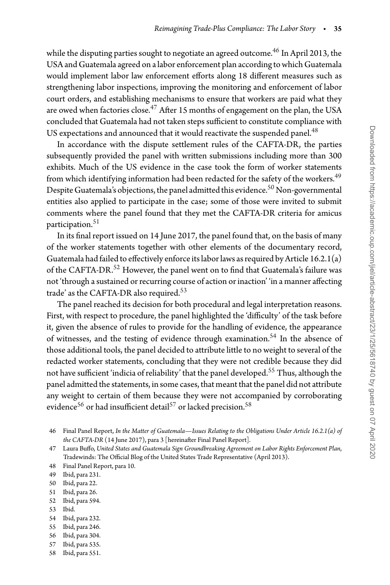while the disputing parties sought to negotiate an agreed outcome.<sup>46</sup> In April 2013, the USA and Guatemala agreed on a labor enforcement plan according to which Guatemala would implement labor law enforcement efforts along 18 different measures such as strengthening labor inspections, improving the monitoring and enforcement of labor court orders, and establishing mechanisms to ensure that workers are paid what they are owed when factories close.<sup>[47](#page-10-1)</sup> After 15 months of engagement on the plan, the USA concluded that Guatemala had not taken steps sufficient to constitute compliance with US expectations and announced that it would reactivate the suspended panel.<sup>[48](#page-10-2)</sup>

In accordance with the dispute settlement rules of the CAFTA-DR, the parties subsequently provided the panel with written submissions including more than 300 exhibits. Much of the US evidence in the case took the form of worker statements from which identifying information had been redacted for the safety of the workers.<sup>[49](#page-10-3)</sup> Despite Guatemala's objections, the panel admitted this evidence.<sup>50</sup> Non-governmental entities also applied to participate in the case; some of those were invited to submit comments where the panel found that they met the CAFTA-DR criteria for amicus participation.<sup>[51](#page-10-5)</sup>

In its final report issued on 14 June 2017, the panel found that, on the basis of many of the worker statements together with other elements of the documentary record, Guatemala had failed to effectively enforce its labor laws as required by Article  $16.2.1(a)$ of the CAFTA-DR.<sup>[52](#page-10-6)</sup> However, the panel went on to find that Guatemala's failure was not 'through a sustained or recurring course of action or inaction' 'in a manner affecting trade' as the CAFTA-DR also required.<sup>53</sup>

The panel reached its decision for both procedural and legal interpretation reasons. First, with respect to procedure, the panel highlighted the 'difficulty' of the task before it, given the absence of rules to provide for the handling of evidence, the appearance of witnesses, and the testing of evidence through examination.<sup>54</sup> In the absence of those additional tools, the panel decided to attribute little to no weight to several of the redacted worker statements, concluding that they were not credible because they did not have sufficient 'indicia of reliability' that the panel developed.<sup>[55](#page-10-9)</sup> Thus, although the panel admitted the statements, in some cases, that meant that the panel did not attribute any weight to certain of them because they were not accompanied by corroborating evidence<sup>56</sup> or had insufficient detail<sup>57</sup> or lacked precision.<sup>58</sup>

- <span id="page-10-3"></span>50 Ibid, para 22.
- <span id="page-10-4"></span>51 Ibid, para 26.
- <span id="page-10-5"></span>52 Ibid, para 594.
- <span id="page-10-6"></span>53 Ibid.
- <span id="page-10-7"></span>54 Ibid, para 232. 55 Ibid, para 246.
- <span id="page-10-9"></span><span id="page-10-8"></span>
- 56 Ibid, para 304.
- <span id="page-10-10"></span>57 Ibid, para 535.
- <span id="page-10-12"></span><span id="page-10-11"></span>58 Ibid, para 551.

<span id="page-10-0"></span><sup>46</sup> Final Panel Report, *In the Matter of Guatemala—Issues Relating to the Obligations Under Article 16.2.1(a) of the CAFTA-DR* (14 June 2017), para 3 [hereinafter Final Panel Report].

<span id="page-10-1"></span><sup>47</sup> Laura Buffo, *United States and Guatemala Sign Groundbreaking Agreement on Labor Rights Enforcement Plan*, Tradewinds: The Official Blog of the United States Trade Representative (April 2013).

<sup>48</sup> Final Panel Report, para 10.

<span id="page-10-2"></span><sup>49</sup> Ibid, para 231.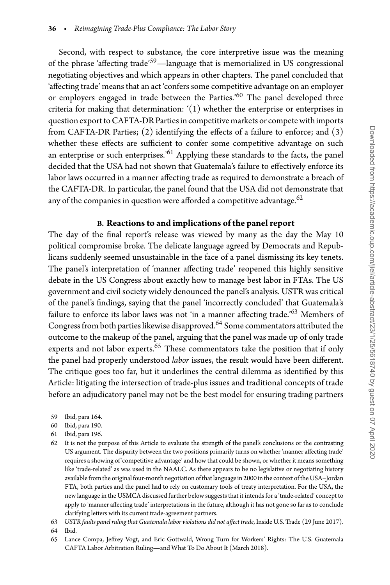Second, with respect to substance, the core interpretive issue was the meaning of the phrase 'affecting trade['59—](#page-11-0)language that is memorialized in US congressional negotiating objectives and which appears in other chapters. The panel concluded that 'affecting trade' means that an act 'confers some competitive advantage on an employer or employers engaged in trade between the Parties.<sup>'[60](#page-11-1)</sup> The panel developed three criteria for making that determination: '(1) whether the enterprise or enterprises in question export to CAFTA-DR Parties in competitive markets or compete with imports from CAFTA-DR Parties; (2) identifying the effects of a failure to enforce; and (3) whether these effects are sufficient to confer some competitive advantage on such an enterprise or such enterprises.<sup>'[61](#page-11-2)</sup> Applying these standards to the facts, the panel decided that the USA had not shown that Guatemala's failure to effectively enforce its labor laws occurred in a manner affecting trade as required to demonstrate a breach of the CAFTA-DR. In particular, the panel found that the USA did not demonstrate that any of the companies in question were afforded a competitive advantage. $62$ 

# **B. Reactions to and implications of the panel report**

The day of the final report's release was viewed by many as the day the May 10 political compromise broke. The delicate language agreed by Democrats and Republicans suddenly seemed unsustainable in the face of a panel dismissing its key tenets. The panel's interpretation of 'manner affecting trade' reopened this highly sensitive debate in the US Congress about exactly how to manage best labor in FTAs. The US government and civil society widely denounced the panel's analysis. USTR was critical of the panel's findings, saying that the panel 'incorrectly concluded' that Guatemala's failure to enforce its labor laws was not 'in a manner affecting trade.['63](#page-11-4) Members of Congress from both parties likewise disapproved.<sup>64</sup> Some commentators attributed the outcome to the makeup of the panel, arguing that the panel was made up of only trade experts and not labor experts.<sup>65</sup> These commentators take the position that if only the panel had properly understood *labor* issues, the result would have been different. The critique goes too far, but it underlines the central dilemma as identified by this Article: litigating the intersection of trade-plus issues and traditional concepts of trade before an adjudicatory panel may not be the best model for ensuring trading partners

- 59 Ibid, para 164.
- <span id="page-11-0"></span>60 Ibid, para 190.
- <span id="page-11-1"></span>61 Ibid, para 196.
- <span id="page-11-3"></span><span id="page-11-2"></span>62 It is not the purpose of this Article to evaluate the strength of the panel's conclusions or the contrasting US argument. The disparity between the two positions primarily turns on whether 'manner affecting trade' requires a showing of 'competitive advantage' and how that could be shown, or whether it means something like 'trade-related' as was used in the NAALC. As there appears to be no legislative or negotiating history available fromthe original four-month negotiation ofthat language in 2000 inthe context ofthe USA–Jordan FTA, both parties and the panel had to rely on customary tools of treaty interpretation. For the USA, the new language in the USMCA discussed further below suggests that it intends for a 'trade-related' concept to apply to 'manner affecting trade' interpretations in the future, although it has not gone so far as to conclude clarifying letters with its current trade-agreement partners.
- 63 *USTR faults panel ruling that Guatemala labor violations did not affect trade*, Inside U.S. Trade (29 June 2017).
- <span id="page-11-4"></span>64 Ibid.
- <span id="page-11-6"></span><span id="page-11-5"></span>65 Lance Compa, Jeffrey Vogt, and Eric Gottwald, Wrong Turn for Workers' Rights: The U.S. Guatemala CAFTA Labor Arbitration Ruling—and What To Do About It (March 2018).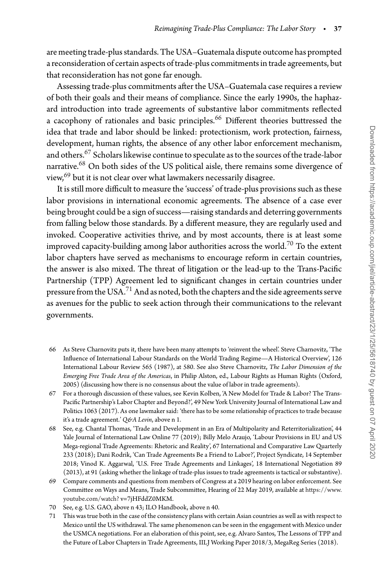are meeting trade-plus standards. The USA–Guatemala dispute outcome has prompted a reconsideration of certain aspects oftrade-plus commitments intrade agreements, but that reconsideration has not gone far enough.

Assessing trade-plus commitments after the USA–Guatemala case requires a review of both their goals and their means of compliance. Since the early 1990s, the haphazard introduction into trade agreements of substantive labor commitments reflected a cacophony of rationales and basic principles.<sup>[66](#page-12-0)</sup> Different theories buttressed the idea that trade and labor should be linked: protectionism, work protection, fairness, development, human rights, the absence of any other labor enforcement mechanism, and others.  $67$  Scholars likewise continue to speculate as to the sources of the trade-labor narrative.[68](#page-12-2) On both sides of the US political aisle, there remains some divergence of view,<sup>69</sup> but it is not clear over what lawmakers necessarily disagree.

It is still more difficult to measure the 'success' of trade-plus provisions such as these labor provisions in international economic agreements. The absence of a case ever being brought could be a sign of success—raising standards and deterring governments from falling below those standards. By a different measure, they are regularly used and invoked. Cooperative activities thrive, and by most accounts, there is at least some improved capacity-building among labor authorities across the world.<sup>[70](#page-12-4)</sup> To the extent labor chapters have served as mechanisms to encourage reform in certain countries, the answer is also mixed. The threat of litigation or the lead-up to the Trans-Pacific Partnership (TPP) Agreement led to significant changes in certain countries under pressure from the USA.<sup>71</sup> And as noted, both the chapters and the side agreements serve as avenues for the public to seek action through their communications to the relevant governments.

- <span id="page-12-0"></span>66 As Steve Charnovitz puts it, there have been many attempts to 'reinvent the wheel'. Steve Charnovitz, 'The Influence of International Labour Standards on the World Trading Regime—A Historical Overview', 126 International Labour Review 565 (1987), at 580. See also Steve Charnovitz, *The Labor Dimension of the Emerging Free Trade Area of the Americas*, in Philip Alston, ed., Labour Rights as Human Rights (Oxford, 2005) (discussing how there is no consensus about the value of labor in trade agreements).
- <span id="page-12-1"></span>67 For a thorough discussion of these values, see Kevin Kolben, 'A New Model for Trade & Labor? The Trans-Pacific Partnership's Labor Chapter and Beyond?', 49 New York University Journal of International Law and Politics 1063 (2017). As one lawmaker said: 'there has to be some relationship of practices to trade because it's a trade agreement.' *Q&A Levin*, above n 1.
- <span id="page-12-2"></span>68 See, e.g. Chantal Thomas, 'Trade and Development in an Era of Multipolarity and Reterritorialization', 44 Yale Journal of International Law Online 77 (2019); Billy Melo Araujo, 'Labour Provisions in EU and US Mega-regional Trade Agreements: Rhetoric and Reality', 67 International and Comparative Law Quarterly 233 (2018); Dani Rodrik, 'Can Trade Agreements Be a Friend to Labor?', Project Syndicate, 14 September 2018; Vinod K. Aggarwal, 'U.S. Free Trade Agreements and Linkages', 18 International Negotiation 89 (2013), at 91 (asking whether the linkage of trade-plus issues to trade agreements is tactical or substantive).
- <span id="page-12-3"></span>69 Compare comments and questions from members of Congress at a 2019 hearing on labor enforcement. See Committee on Ways and Means, Trade Subcommittee, Hearing of 22 May 2019, available at [https://www.](https://www.youtube.com/watch?) [youtube.com/watch?](https://www.youtube.com/watch?) v=7jHFddZ0MKM.
- 70 See, e.g. U.S. GAO, above n 43; ILO Handbook, above n 40.
- <span id="page-12-5"></span><span id="page-12-4"></span>71 This was true both in the case of the consistency plans with certain Asian countries as well as with respect to Mexico until the US withdrawal. The same phenomenon can be seen in the engagement with Mexico under the USMCA negotiations. For an elaboration of this point, see, e.g. Alvaro Santos, The Lessons of TPP and the Future of Labor Chapters in Trade Agreements, IILJ Working Paper 2018/3, MegaReg Series (2018).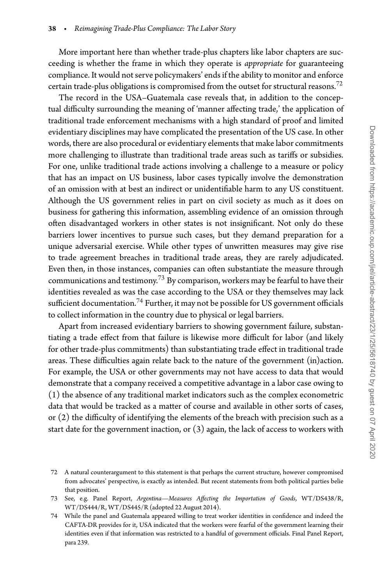More important here than whether trade-plus chapters like labor chapters are succeeding is whether the frame in which they operate is *appropriate* for guaranteeing compliance. It would not serve policymakers' ends if the ability to monitor and enforce certain trade-plus obligations is compromised from the outset for structural reasons.<sup>[72](#page-13-0)</sup>

The record in the USA–Guatemala case reveals that, in addition to the conceptual difficulty surrounding the meaning of 'manner affecting trade,' the application of traditional trade enforcement mechanisms with a high standard of proof and limited evidentiary disciplines may have complicated the presentation of the US case. In other words, there are also procedural or evidentiary elements that make labor commitments more challenging to illustrate than traditional trade areas such as tariffs or subsidies. For one, unlike traditional trade actions involving a challenge to a measure or policy that has an impact on US business, labor cases typically involve the demonstration of an omission with at best an indirect or unidentifiable harm to any US constituent. Although the US government relies in part on civil society as much as it does on business for gathering this information, assembling evidence of an omission through often disadvantaged workers in other states is not insignificant. Not only do these barriers lower incentives to pursue such cases, but they demand preparation for a unique adversarial exercise. While other types of unwritten measures may give rise to trade agreement breaches in traditional trade areas, they are rarely adjudicated. Even then, in those instances, companies can often substantiate the measure through communications and testimony.[73](#page-13-1) By comparison, workers may be fearful to have their identities revealed as was the case according to the USA or they themselves may lack sufficient documentation.<sup>74</sup> Further, it may not be possible for US government officials to collect information in the country due to physical or legal barriers.

Apart from increased evidentiary barriers to showing government failure, substantiating a trade effect from that failure is likewise more difficult for labor (and likely for other trade-plus commitments) than substantiating trade effect in traditional trade areas. These difficulties again relate back to the nature of the government (in)action. For example, the USA or other governments may not have access to data that would demonstrate that a company received a competitive advantage in a labor case owing to (1) the absence of any traditional market indicators such as the complex econometric data that would be tracked as a matter of course and available in other sorts of cases, or (2) the difficulty of identifying the elements of the breach with precision such as a start date for the government inaction, or  $(3)$  again, the lack of access to workers with

<span id="page-13-0"></span><sup>72</sup> A natural counterargument to this statement is that perhaps the current structure, however compromised from advocates' perspective, is exactly as intended. But recent statements from both political parties belie that position.

<span id="page-13-1"></span><sup>73</sup> See, e.g. Panel Report, *Argentina—Measures Affecting the Importation of Goods*, WT/DS438/R, WT/DS444/R, WT/DS445/R (adopted 22 August 2014).

<span id="page-13-2"></span><sup>74</sup> While the panel and Guatemala appeared willing to treat worker identities in confidence and indeed the CAFTA-DR provides for it, USA indicated that the workers were fearful of the government learning their identities even if that information was restricted to a handful of government officials. Final Panel Report, para 239.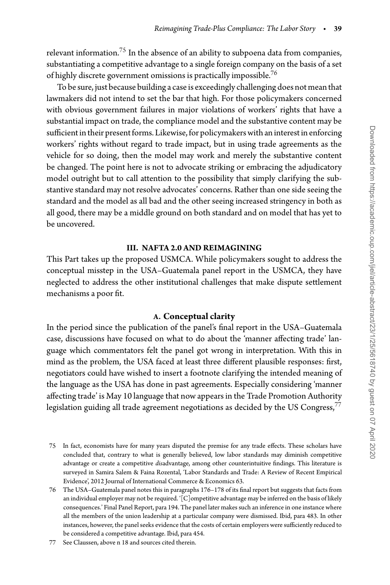relevant information.<sup>[75](#page-14-0)</sup> In the absence of an ability to subpoena data from companies, substantiating a competitive advantage to a single foreign company on the basis of a set of highly discrete government omissions is practically impossible.<sup>76</sup>

To be sure, just because building a case is exceedingly challenging does not meanthat lawmakers did not intend to set the bar that high. For those policymakers concerned with obvious government failures in major violations of workers' rights that have a substantial impact on trade, the compliance model and the substantive content may be sufficient in their present forms. Likewise, for policymakers with an interest in enforcing workers' rights without regard to trade impact, but in using trade agreements as the vehicle for so doing, then the model may work and merely the substantive content be changed. The point here is not to advocate striking or embracing the adjudicatory model outright but to call attention to the possibility that simply clarifying the substantive standard may not resolve advocates' concerns. Rather than one side seeing the standard and the model as all bad and the other seeing increased stringency in both as all good, there may be a middle ground on both standard and on model that has yet to be uncovered.

#### **III. NAFTA 2.0 AND REIMAGINING**

This Part takes up the proposed USMCA. While policymakers sought to address the conceptual misstep in the USA–Guatemala panel report in the USMCA, they have neglected to address the other institutional challenges that make dispute settlement mechanisms a poor fit.

#### **A. Conceptual clarity**

In the period since the publication of the panel's final report in the USA–Guatemala case, discussions have focused on what to do about the 'manner affecting trade' language which commentators felt the panel got wrong in interpretation. With this in mind as the problem, the USA faced at least three different plausible responses: first, negotiators could have wished to insert a footnote clarifying the intended meaning of the language as the USA has done in past agreements. Especially considering 'manner affecting trade' is May 10 language that now appears in the Trade Promotion Authority legislation guiding all trade agreement negotiations as decided by the US Congress,  $77$ 

- <span id="page-14-0"></span>75 In fact, economists have for many years disputed the premise for any trade effects. These scholars have concluded that, contrary to what is generally believed, low labor standards may diminish competitive advantage or create a competitive *dis*advantage, among other counterintuitive findings. This literature is surveyed in Samira Salem & Faina Rozental, 'Labor Standards and Trade: A Review of Recent Empirical Evidence', 2012 Journal of International Commerce & Economics 63.
- <span id="page-14-1"></span>76 The USA–Guatemala panel notes this in paragraphs 176–178 of its final report but suggests that facts from an individual employer may not be required. '[C]ompetitive advantage may be inferred on the basis of likely consequences.' Final Panel Report, para 194. The panel later makes such an inference in one instance where all the members of the union leadership at a particular company were dismissed. Ibid, para 483. In other instances, however, the panel seeks evidence that the costs of certain employers were sufficiently reduced to be considered a competitive advantage. Ibid, para 454.

<span id="page-14-2"></span><sup>77</sup> See Claussen, above n 18 and sources cited therein.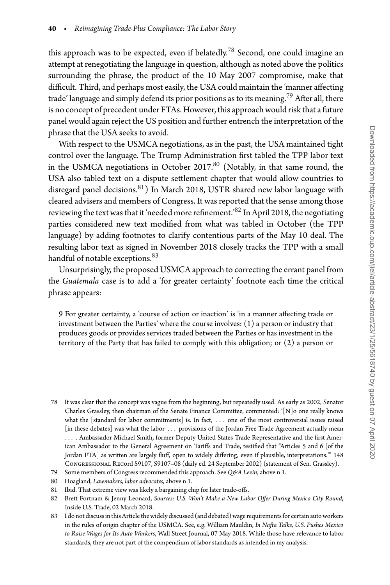this approach was to be expected, even if belatedly.<sup>78</sup> Second, one could imagine an attempt at renegotiating the language in question, although as noted above the politics surrounding the phrase, the product of the 10 May 2007 compromise, make that difficult. Third, and perhaps most easily, the USA could maintain the 'manner affecting trade' language and simply defend its prior positions as to its meaning.<sup>[79](#page-15-1)</sup> After all, there is no concept of precedent under FTAs. However, this approach would risk that a future panel would again reject the US position and further entrench the interpretation of the phrase that the USA seeks to avoid.

With respect to the USMCA negotiations, as in the past, the USA maintained tight control over the language. The Trump Administration first tabled the TPP labor text in the USMCA negotiations in October 2017.<sup>80</sup> (Notably, in that same round, the USA also tabled text on a dispute settlement chapter that would allow countries to disregard panel decisions. $81$ ) In March 2018, USTR shared new labor language with cleared advisers and members of Congress. It was reported that the sense among those reviewing the text was that it 'needed more refinement.'<sup>[82](#page-15-4)</sup> In April 2018, the negotiating parties considered new text modified from what was tabled in October (the TPP language) by adding footnotes to clarify contentious parts of the May 10 deal. The resulting labor text as signed in November 2018 closely tracks the TPP with a small handful of notable exceptions.<sup>83</sup>

Unsurprisingly, the proposed USMCA approach to correcting the errant panel from the *Guatemala* case is to add a 'for greater certainty' footnote each time the critical phrase appears:

9 For greater certainty, a 'course of action or inaction' is 'in a manner affecting trade or investment between the Parties' where the course involves: (1) a person or industry that produces goods or provides services traded between the Parties or has investment in the territory of the Party that has failed to comply with this obligation; or (2) a person or

- <span id="page-15-0"></span>78 It was clear that the concept was vague from the beginning, but repeatedly used. As early as 2002, Senator Charles Grassley, then chairman of the Senate Finance Committee, commented: '[N]o one really knows what the [standard for labor commitments] is. In fact, *...* one of the most controversial issues raised [in these debates] was what the labor *...* provisions of the Jordan Free Trade Agreement actually mean *...* . Ambassador Michael Smith, former Deputy United States Trade Representative and the first American Ambassador to the General Agreement on Tariffs and Trade, testified that "Articles 5 and 6 [of the Jordan FTA] as written are largely fluff, open to widely differing, even if plausible, interpretations."' 148 Congressional Record S9107, S9107–08 (daily ed. 24 September 2002) (statement of Sen. Grassley).
- 79 Some members of Congress recommended this approach. See Q&A Levin, above n 1.
- <span id="page-15-1"></span>80 Hoagland, *Lawmakers, labor advocates*, above n 1.
- <span id="page-15-2"></span>81 Ibid. That extreme view was likely a bargaining chip for later trade-offs.
- <span id="page-15-4"></span><span id="page-15-3"></span>82 Brett Fortnam & Jenny Leonard, *Sources: U.S. Won't Make a New Labor Offer During Mexico City Round*, Inside U.S. Trade, 02 March 2018.
- <span id="page-15-5"></span>83 I do not discuss in this Article the widely discussed (and debated) wage requirements for certain auto workers in the rules of origin chapter of the USMCA. See, e.g. William Mauldin, *In Nafta Talks, U.S. Pushes Mexico to Raise Wages for Its Auto Workers*, Wall Street Journal, 07 May 2018. While those have relevance to labor standards, they are not part of the compendium of labor standards as intended in my analysis.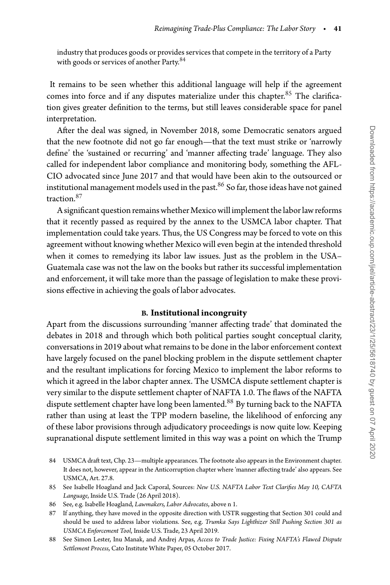industry that produces goods or provides services that compete in the territory of a Party with goods or services of another Party.<sup>[84](#page-16-0)</sup>

It remains to be seen whether this additional language will help if the agreement comes into force and if any disputes materialize under this chapter.<sup>85</sup> The clarification gives greater definition to the terms, but still leaves considerable space for panel interpretation.

After the deal was signed, in November 2018, some Democratic senators argued that the new footnote did not go far enough—that the text must strike or 'narrowly define' the 'sustained or recurring' and 'manner affecting trade' language. They also called for independent labor compliance and monitoring body, something the AFL-CIO advocated since June 2017 and that would have been akin to the outsourced or institutional management models used in the past. $86$  So far, those ideas have not gained traction[.87](#page-16-3)

A significant question remains whether Mexico will implement the labor law reforms that it recently passed as required by the annex to the USMCA labor chapter. That implementation could take years. Thus, the US Congress may be forced to vote on this agreement without knowing whether Mexico will even begin at the intended threshold when it comes to remedying its labor law issues. Just as the problem in the USA– Guatemala case was not the law on the books but rather its successful implementation and enforcement, it will take more than the passage of legislation to make these provisions effective in achieving the goals of labor advocates.

#### **B. Institutional incongruity**

Apart from the discussions surrounding 'manner affecting trade' that dominated the debates in 2018 and through which both political parties sought conceptual clarity, conversations in 2019 about what remains to be done in the labor enforcement context have largely focused on the panel blocking problem in the dispute settlement chapter and the resultant implications for forcing Mexico to implement the labor reforms to which it agreed in the labor chapter annex. The USMCA dispute settlement chapter is very similar to the dispute settlement chapter of NAFTA 1.0. The flaws of the NAFTA dispute settlement chapter have long been lamented.<sup>88</sup> By turning back to the NAFTA rather than using at least the TPP modern baseline, the likelihood of enforcing any of these labor provisions through adjudicatory proceedings is now quite low. Keeping supranational dispute settlement limited in this way was a point on which the Trump

- <span id="page-16-0"></span>84 USMCA draft text, Chp. 23—multiple appearances. The footnote also appears in the Environment chapter. It does not, however, appear in the Anticorruption chapter where 'manner affecting trade' also appears. See USMCA, Art. 27.8.
- <span id="page-16-1"></span>85 See Isabelle Hoagland and Jack Caporal, Sources: *New U.S. NAFTA Labor Text Clarifies May 10, CAFTA Language*, Inside U.S. Trade (26 April 2018).
- 86 See, e.g. Isabelle Hoagland, *Lawmakers, Labor Advocates*, above n 1.
- <span id="page-16-3"></span><span id="page-16-2"></span>87 If anything, they have moved in the opposite direction with USTR suggesting that Section 301 could and should be used to address labor violations. See, e.g. *Trumka Says Lighthizer Still Pushing Section 301 as USMCA Enforcement Tool*, Inside U.S. Trade, 23 April 2019.

<span id="page-16-4"></span><sup>88</sup> See Simon Lester, Inu Manak, and Andrej Arpas, *Access to Trade Justice: Fixing NAFTA's Flawed Dispute Settlement Process*, Cato Institute White Paper, 05 October 2017.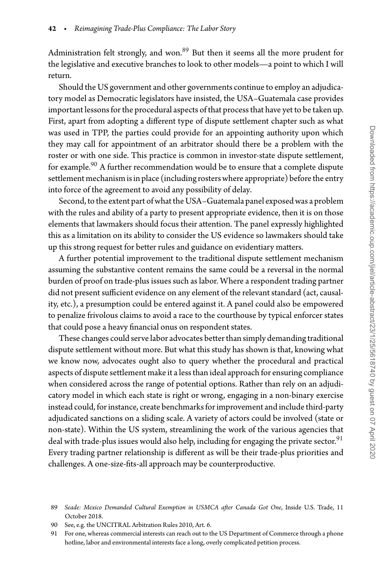Administration felt strongly, and won.<sup>89</sup> But then it seems all the more prudent for the legislative and executive branches to look to other models—a point to which I will return.

Should the US government and other governments continue to employ an adjudicatory model as Democratic legislators have insisted, the USA–Guatemala case provides important lessons for the procedural aspects of that process that have yet to be taken up. First, apart from adopting a different type of dispute settlement chapter such as what was used in TPP, the parties could provide for an appointing authority upon which they may call for appointment of an arbitrator should there be a problem with the roster or with one side. This practice is common in investor-state dispute settlement, for example.<sup>[90](#page-17-1)</sup> A further recommendation would be to ensure that a complete dispute settlement mechanism is in place (including rosters where appropriate) before the entry into force of the agreement to avoid any possibility of delay.

Second, to the extent part of what the USA–Guatemala panel exposed was a problem with the rules and ability of a party to present appropriate evidence, then it is on those elements that lawmakers should focus their attention. The panel expressly highlighted this as a limitation on its ability to consider the US evidence so lawmakers should take up this strong request for better rules and guidance on evidentiary matters.

A further potential improvement to the traditional dispute settlement mechanism assuming the substantive content remains the same could be a reversal in the normal burden of proof on trade-plus issues such as labor. Where a respondent trading partner did not present sufficient evidence on any element of the relevant standard (act, causality, etc.), a presumption could be entered against it. A panel could also be empowered to penalize frivolous claims to avoid a race to the courthouse by typical enforcer states that could pose a heavy financial onus on respondent states.

These changes could serve labor advocates better than simply demanding traditional dispute settlement without more. But what this study has shown is that, knowing what we know now, advocates ought also to query whether the procedural and practical aspects of dispute settlement make it a less than ideal approach for ensuring compliance when considered across the range of potential options. Rather than rely on an adjudicatory model in which each state is right or wrong, engaging in a non-binary exercise instead could, for instance, create benchmarks for improvement and include third-party adjudicated sanctions on a sliding scale. A variety of actors could be involved (state or non-state). Within the US system, streamlining the work of the various agencies that deal with trade-plus issues would also help, including for engaging the private sector.<sup>[91](#page-17-2)</sup> Every trading partner relationship is different as will be their trade-plus priorities and challenges. A one-size-fits-all approach may be counterproductive.

<span id="page-17-0"></span><sup>89</sup> *Seade: Mexico Demanded Cultural Exemption in USMCA after Canada Got One*, Inside U.S. Trade, 11 October 2018.

<sup>90</sup> See, e.g. the UNCITRAL Arbitration Rules 2010, Art. 6.

<span id="page-17-2"></span><span id="page-17-1"></span><sup>91</sup> For one, whereas commercial interests can reach out to the US Department of Commerce through a phone hotline, labor and environmental interests face a long, overly complicated petition process.